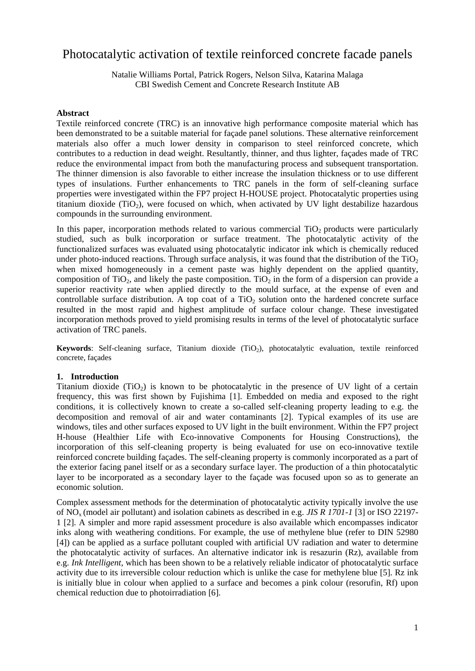# Photocatalytic activation of textile reinforced concrete facade panels

Natalie Williams Portal, Patrick Rogers, Nelson Silva, Katarina Malaga CBI Swedish Cement and Concrete Research Institute AB

#### **Abstract**

Textile reinforced concrete (TRC) is an innovative high performance composite material which has been demonstrated to be a suitable material for façade panel solutions. These alternative reinforcement materials also offer a much lower density in comparison to steel reinforced concrete, which contributes to a reduction in dead weight. Resultantly, thinner, and thus lighter, façades made of TRC reduce the environmental impact from both the manufacturing process and subsequent transportation. The thinner dimension is also favorable to either increase the insulation thickness or to use different types of insulations. Further enhancements to TRC panels in the form of self-cleaning surface properties were investigated within the FP7 project H-HOUSE project. Photocatalytic properties using titanium dioxide (TiO<sub>2</sub>), were focused on which, when activated by UV light destabilize hazardous compounds in the surrounding environment.

In this paper, incorporation methods related to various commercial  $TiO<sub>2</sub>$  products were particularly studied, such as bulk incorporation or surface treatment. The photocatalytic activity of the functionalized surfaces was evaluated using photocatalytic indicator ink which is chemically reduced under photo-induced reactions. Through surface analysis, it was found that the distribution of the  $TiO<sub>2</sub>$ when mixed homogeneously in a cement paste was highly dependent on the applied quantity, composition of TiO<sub>2</sub>, and likely the paste composition. TiO<sub>2</sub> in the form of a dispersion can provide a superior reactivity rate when applied directly to the mould surface, at the expense of even and controllable surface distribution. A top coat of a  $TiO<sub>2</sub>$  solution onto the hardened concrete surface resulted in the most rapid and highest amplitude of surface colour change. These investigated incorporation methods proved to yield promising results in terms of the level of photocatalytic surface activation of TRC panels.

**Keywords:** Self-cleaning surface, Titanium dioxide (TiO<sub>2</sub>), photocatalytic evaluation, textile reinforced concrete, façades

#### **1. Introduction**

Titanium dioxide  $(TiO<sub>2</sub>)$  is known to be photocatalytic in the presence of UV light of a certain frequency, this was first shown by [Fujishima \[1\]](#page-8-0). Embedded on media and exposed to the right conditions, it is collectively known to create a so-called self-cleaning property leading to e.g. the decomposition and removal of air and water contaminants [\[2\]](#page-8-1). Typical examples of its use are windows, tiles and other surfaces exposed to UV light in the built environment. Within the FP7 project H-house (Healthier Life with Eco-innovative Components for Housing Constructions), the incorporation of this self-cleaning property is being evaluated for use on eco-innovative textile reinforced concrete building façades. The self-cleaning property is commonly incorporated as a part of the exterior facing panel itself or as a secondary surface layer. The production of a thin photocatalytic layer to be incorporated as a secondary layer to the façade was focused upon so as to generate an economic solution.

Complex assessment methods for the determination of photocatalytic activity typically involve the use of NOx (model air pollutant) and isolation cabinets as described in e.g. *JIS R 1701-1* [\[3\]](#page-8-2) or [ISO 22197-](#page-8-1) [1 \[2\]](#page-8-1). A simpler and more rapid assessment procedure is also available which encompasses indicator inks along with weathering conditions. For example, the use of methylene blue (refer to [DIN 52980](#page-8-3)  [\[4\]](#page-8-3)) can be applied as a surface pollutant coupled with artificial UV radiation and water to determine the photocatalytic activity of surfaces. An alternative indicator ink is resazurin (Rz), available from e.g. *Ink Intelligent*, which has been shown to be a relatively reliable indicator of photocatalytic surface activity due to its irreversible colour reduction which is unlike the case for methylene blue [\[5\]](#page-8-4). Rz ink is initially blue in colour when applied to a surface and becomes a pink colour (resorufin, Rf) upon chemical reduction due to photoirradiation [\[6\]](#page-8-5).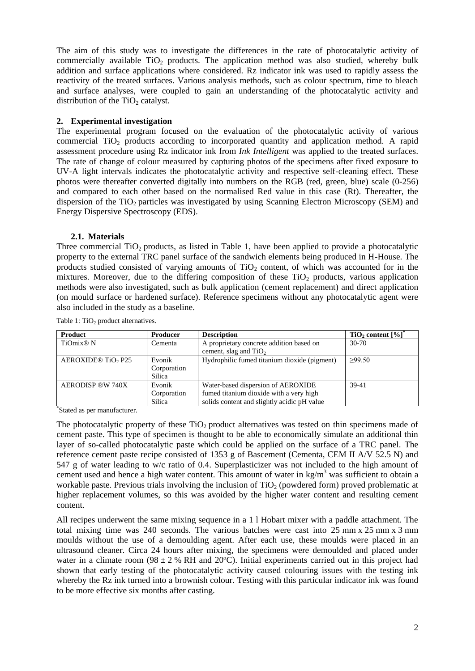The aim of this study was to investigate the differences in the rate of photocatalytic activity of commercially available TiO<sub>2</sub> products. The application method was also studied, whereby bulk addition and surface applications where considered. Rz indicator ink was used to rapidly assess the reactivity of the treated surfaces. Various analysis methods, such as colour spectrum, time to bleach and surface analyses, were coupled to gain an understanding of the photocatalytic activity and distribution of the  $TiO<sub>2</sub>$  catalyst.

# **2. Experimental investigation**

The experimental program focused on the evaluation of the photocatalytic activity of various commercial TiO<sub>2</sub> products according to incorporated quantity and application method. A rapid assessment procedure using Rz indicator ink from *Ink Intelligent* was applied to the treated surfaces. The rate of change of colour measured by capturing photos of the specimens after fixed exposure to UV-A light intervals indicates the photocatalytic activity and respective self-cleaning effect. These photos were thereafter converted digitally into numbers on the RGB (red, green, blue) scale (0-256) and compared to each other based on the normalised Red value in this case (Rt). Thereafter, the dispersion of the  $TiO<sub>2</sub>$  particles was investigated by using Scanning Electron Microscopy (SEM) and Energy Dispersive Spectroscopy (EDS).

# **2.1. Materials**

Three commercial  $TiO<sub>2</sub>$  products, as listed in [Table 1,](#page-1-0) have been applied to provide a photocatalytic property to the external TRC panel surface of the sandwich elements being produced in H-House. The products studied consisted of varying amounts of  $TiO<sub>2</sub>$  content, of which was accounted for in the mixtures. Moreover, due to the differing composition of these  $TiO<sub>2</sub>$  products, various application methods were also investigated, such as bulk application (cement replacement) and direct application (on mould surface or hardened surface). Reference specimens without any photocatalytic agent were also included in the study as a baseline.

| Product               | <b>Producer</b> | <b>Description</b>                           | TiO <sub>2</sub> content [%] |
|-----------------------|-----------------|----------------------------------------------|------------------------------|
| TiOmix <sup>®</sup> N | Cementa         | A proprietary concrete addition based on     | $30 - 70$                    |
|                       |                 | cement, slag and $TiO2$                      |                              |
| AEROXIDE® TiO2 P25    | Evonik          | Hydrophilic fumed titanium dioxide (pigment) | >99.50                       |
|                       | Corporation     |                                              |                              |
|                       | Silica          |                                              |                              |
| AERODISP ®W 740X      | Evonik          | Water-based dispersion of AEROXIDE           | 39-41                        |
|                       | Corporation     | fumed titanium dioxide with a very high      |                              |
|                       | Silica          | solids content and slightly acidic pH value  |                              |

<span id="page-1-0"></span>Table 1:  $TiO<sub>2</sub>$  product alternatives.

\* Stated as per manufacturer.

The photocatalytic property of these  $TiO<sub>2</sub>$  product alternatives was tested on thin specimens made of cement paste. This type of specimen is thought to be able to economically simulate an additional thin layer of so-called photocatalytic paste which could be applied on the surface of a TRC panel. The reference cement paste recipe consisted of 1353 g of Bascement (Cementa, CEM II A/V 52.5 N) and 547 g of water leading to w/c ratio of 0.4. Superplasticizer was not included to the high amount of cement used and hence a high water content. This amount of water in  $\text{kg/m}^3$  was sufficient to obtain a workable paste. Previous trials involving the inclusion of  $TiO<sub>2</sub>$  (powdered form) proved problematic at higher replacement volumes, so this was avoided by the higher water content and resulting cement content.

All recipes underwent the same mixing sequence in a 1 l Hobart mixer with a paddle attachment. The total mixing time was 240 seconds. The various batches were cast into 25 mm x 25 mm x 3 mm moulds without the use of a demoulding agent. After each use, these moulds were placed in an ultrasound cleaner. Circa 24 hours after mixing, the specimens were demoulded and placed under water in a climate room (98  $\pm$  2 % RH and 20°C). Initial experiments carried out in this project had shown that early testing of the photocatalytic activity caused colouring issues with the testing ink whereby the Rz ink turned into a brownish colour. Testing with this particular indicator ink was found to be more effective six months after casting.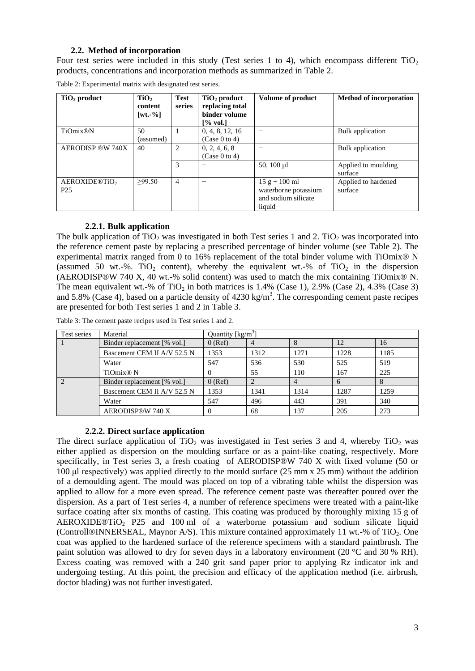# **2.2. Method of incorporation**

Four test series were included in this study (Test series 1 to 4), which encompass different  $TiO<sub>2</sub>$ products, concentrations and incorporation methods as summarized in [Table 2.](#page-2-0)

| $TiO2$ product                               | TiO <sub>2</sub><br>content<br>$\lceil wt. -\% \rceil$ | <b>Test</b><br>series | $TiO2$ product<br>replacing total<br>binder volume<br>[% vol.] | <b>Volume of product</b>                                                 | <b>Method of incorporation</b> |
|----------------------------------------------|--------------------------------------------------------|-----------------------|----------------------------------------------------------------|--------------------------------------------------------------------------|--------------------------------|
| <b>TiOmix®N</b>                              | 50<br>(assumed)                                        |                       | 0, 4, 8, 12, 16<br>(Case 0 to 4)                               |                                                                          | Bulk application               |
| <b>AERODISP ®W 740X</b>                      | 40                                                     | $\overline{c}$        | 0, 2, 4, 6, 8<br>(Case 0 to 4)                                 |                                                                          | <b>Bulk</b> application        |
|                                              |                                                        | 3                     |                                                                | 50, 100 $\mu$ 1                                                          | Applied to moulding<br>surface |
| AEROXIDE®TiO <sub>2</sub><br>P <sub>25</sub> | >99.50                                                 | 4                     | -                                                              | $15 g + 100 ml$<br>waterborne potassium<br>and sodium silicate<br>liquid | Applied to hardened<br>surface |

<span id="page-2-0"></span>Table 2: Experimental matrix with designated test series.

# **2.2.1. Bulk application**

The bulk application of TiO<sub>2</sub> was investigated in both Test series 1 and 2. TiO<sub>2</sub> was incorporated into the reference cement paste by replacing a prescribed percentage of binder volume (see [Table 2\)](#page-2-0). The experimental matrix ranged from 0 to 16% replacement of the total binder volume with TiOmix® N (assumed 50 wt.-%. TiO<sub>2</sub> content), whereby the equivalent wt.-% of TiO<sub>2</sub> in the dispersion (AERODISP®W 740 X, 40 wt.-% solid content) was used to match the mix containing TiOmix® N. The mean equivalent wt.-% of TiO<sub>2</sub> in both matrices is  $1.4\%$  (Case 1),  $2.9\%$  (Case 2),  $4.3\%$  (Case 3) and 5.8% (Case 4), based on a particle density of  $4230 \text{ kg/m}^3$ . The corresponding cement paste recipes are presented for both Test series 1 and 2 in [Table 3.](#page-2-1)

| Test series   | Material                    | Quantity $\lceil \text{kg/m}^3 \rceil$ |      |      |      |      |
|---------------|-----------------------------|----------------------------------------|------|------|------|------|
|               | Binder replacement [% vol.] | $0$ (Ref)                              |      |      | 12   | 16   |
|               | Bascement CEM II A/V 52.5 N | 1353                                   | 1312 | 1271 | 1228 | 1185 |
|               | Water                       | 547                                    | 536  | 530  | 525  | 519  |
|               | TiOmix <sup>®</sup> N       |                                        | 55   | 110  | 167  | 225  |
| $\mathcal{D}$ | Binder replacement [% vol.] | $0$ (Ref)                              |      |      | 6    |      |
|               | Bascement CEM II A/V 52.5 N |                                        | 1341 | 1314 | 1287 | 1259 |
|               | Water                       | 547                                    | 496  | 443  | 391  | 340  |
|               | AERODISP®W 740 X            |                                        | 68   | 137  | 205  | 273  |

<span id="page-2-1"></span>Table 3: The cement paste recipes used in Test series 1 and 2.

#### **2.2.2. Direct surface application**

The direct surface application of TiO<sub>2</sub> was investigated in Test series 3 and 4, whereby TiO<sub>2</sub> was either applied as dispersion on the moulding surface or as a paint-like coating, respectively. More specifically, in Test series 3, a fresh coating of AERODISP®W 740 X with fixed volume (50 or 100 μl respectively) was applied directly to the mould surface (25 mm x 25 mm) without the addition of a demoulding agent. The mould was placed on top of a vibrating table whilst the dispersion was applied to allow for a more even spread. The reference cement paste was thereafter poured over the dispersion. As a part of Test series 4, a number of reference specimens were treated with a paint-like surface coating after six months of casting. This coating was produced by thoroughly mixing 15 g of AEROXIDE®TiO<sub>2</sub> P25 and 100 ml of a waterborne potassium and sodium silicate liquid (Controll®INNERSEAL, Maynor A/S). This mixture contained approximately 11 wt.-% of TiO<sub>2</sub>. One coat was applied to the hardened surface of the reference specimens with a standard paintbrush. The paint solution was allowed to dry for seven days in a laboratory environment (20 °C and 30 % RH). Excess coating was removed with a 240 grit sand paper prior to applying Rz indicator ink and undergoing testing. At this point, the precision and efficacy of the application method (i.e. airbrush, doctor blading) was not further investigated.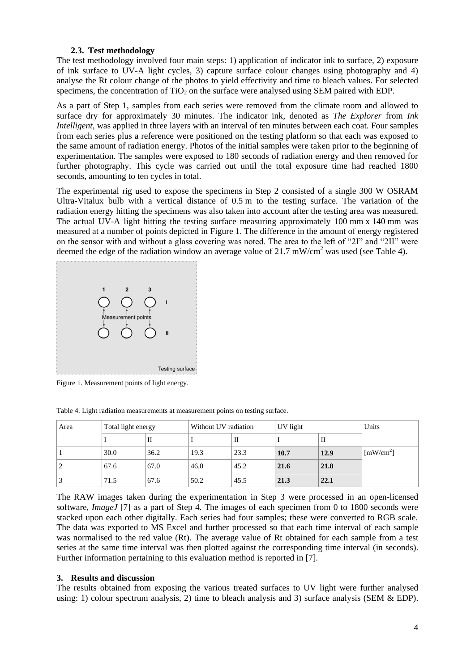### **2.3. Test methodology**

<span id="page-3-2"></span>The test methodology involved four main steps: 1) application of indicator ink to surface, 2) exposure of ink surface to UV-A light cycles, 3) capture surface colour changes using photography and 4) analyse the Rt colour change of the photos to yield effectivity and time to bleach values. For selected specimens, the concentration of  $TiO<sub>2</sub>$  on the surface were analysed using SEM paired with EDP.

As a part of Step 1, samples from each series were removed from the climate room and allowed to surface dry for approximately 30 minutes. The indicator ink, denoted as *The Explorer* from *Ink Intelligent*, was applied in three layers with an interval of ten minutes between each coat. Four samples from each series plus a reference were positioned on the testing platform so that each was exposed to the same amount of radiation energy. Photos of the initial samples were taken prior to the beginning of experimentation. The samples were exposed to 180 seconds of radiation energy and then removed for further photography. This cycle was carried out until the total exposure time had reached 1800 seconds, amounting to ten cycles in total.

The experimental rig used to expose the specimens in Step 2 consisted of a single 300 W OSRAM Ultra-Vitalux bulb with a vertical distance of 0.5 m to the testing surface. The variation of the radiation energy hitting the specimens was also taken into account after the testing area was measured. The actual UV-A light hitting the testing surface measuring approximately 100 mm x 140 mm was measured at a number of points depicted in [Figure 1.](#page-3-0) The difference in the amount of energy registered on the sensor with and without a glass covering was noted. The area to the left of "2I" and "2II" were deemed the edge of the radiation window an average value of  $21.7 \text{ mW/cm}^2$  was used (see [Table 4\)](#page-3-1).



<span id="page-3-0"></span>Figure 1. Measurement points of light energy.

<span id="page-3-1"></span>

| Table 4. Light radiation measurements at measurement points on testing surface. |  |  |
|---------------------------------------------------------------------------------|--|--|
|                                                                                 |  |  |

| Area | Total light energy |      | Without UV radiation |      | UV light |      | Units                 |
|------|--------------------|------|----------------------|------|----------|------|-----------------------|
|      |                    | П    |                      | П    |          | п    |                       |
|      | 30.0               | 36.2 | 19.3                 | 23.3 | 10.7     | 12.9 | [mW/cm <sup>2</sup> ] |
|      | 67.6               | 67.0 | 46.0                 | 45.2 | 21.6     | 21.8 |                       |
|      | 71.5               | 67.6 | 50.2                 | 45.5 | 21.3     | 22.1 |                       |

The RAW images taken during the experimentation in Step 3 were processed in an open-licensed software, *ImageJ* [\[7\]](#page-8-6) as a part of Step 4. The images of each specimen from 0 to 1800 seconds were stacked upon each other digitally. Each series had four samples; these were converted to RGB scale. The data was exported to MS Excel and further processed so that each time interval of each sample was normalised to the red value (Rt). The average value of Rt obtained for each sample from a test series at the same time interval was then plotted against the corresponding time interval (in seconds). Further information pertaining to this evaluation method is reported in [\[7\]](#page-8-6).

### **3. Results and discussion**

The results obtained from exposing the various treated surfaces to UV light were further analysed using: 1) colour spectrum analysis, 2) time to bleach analysis and 3) surface analysis (SEM  $&$  EDP).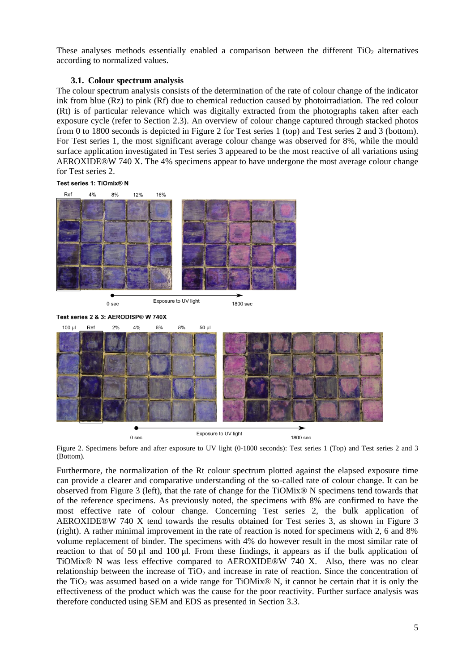These analyses methods essentially enabled a comparison between the different  $TiO<sub>2</sub>$  alternatives according to normalized values.

### **3.1. Colour spectrum analysis**

<span id="page-4-1"></span>The colour spectrum analysis consists of the determination of the rate of colour change of the indicator ink from blue (Rz) to pink (Rf) due to chemical reduction caused by photoirradiation. The red colour (Rt) is of particular relevance which was digitally extracted from the photographs taken after each exposure cycle (refer to Section [2.3\)](#page-3-2). An overview of colour change captured through stacked photos from 0 to 1800 seconds is depicted in [Figure 2](#page-4-0) for Test series 1 (top) and Test series 2 and 3 (bottom). For Test series 1, the most significant average colour change was observed for 8%, while the mould surface application investigated in Test series 3 appeared to be the most reactive of all variations using AEROXIDE®W 740 X. The 4% specimens appear to have undergone the most average colour change for Test series 2.

Test series 1: TiOmix® N



Test series 2 & 3: AERODISP® W 740X



<span id="page-4-0"></span>Figure 2. Specimens before and after exposure to UV light (0-1800 seconds): Test series 1 (Top) and Test series 2 and 3 (Bottom).

Furthermore, the normalization of the Rt colour spectrum plotted against the elapsed exposure time can provide a clearer and comparative understanding of the so-called rate of colour change. It can be observed from [Figure 3](#page-5-0) (left), that the rate of change for the TiOMix® N specimens tend towards that of the reference specimens. As previously noted, the specimens with 8% are confirmed to have the most effective rate of colour change. Concerning Test series 2, the bulk application of AEROXIDE®W 740 X tend towards the results obtained for Test series 3, as shown in [Figure 3](#page-5-0) (right). A rather minimal improvement in the rate of reaction is noted for specimens with 2, 6 and 8% volume replacement of binder. The specimens with 4% do however result in the most similar rate of reaction to that of 50 μl and 100 μl. From these findings, it appears as if the bulk application of TiOMix® N was less effective compared to AEROXIDE®W 740 X. Also, there was no clear relationship between the increase of  $TiO<sub>2</sub>$  and increase in rate of reaction. Since the concentration of the TiO<sub>2</sub> was assumed based on a wide range for TiOMix<sup>®</sup> N, it cannot be certain that it is only the effectiveness of the product which was the cause for the poor reactivity. Further surface analysis was therefore conducted using SEM and EDS as presented in Section [3.3.](#page-6-0)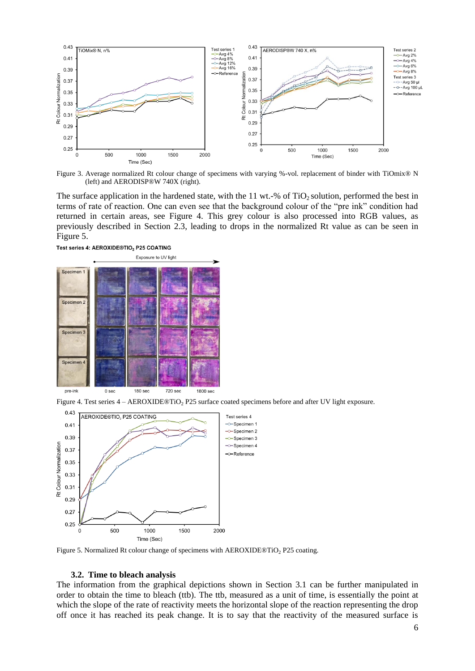

<span id="page-5-0"></span>Figure 3. Average normalized Rt colour change of specimens with varying %-vol. replacement of binder with TiOmix® N (left) and AERODISP®W 740X (right).

The surface application in the hardened state, with the 11 wt.-% of  $TiO<sub>2</sub>$  solution, performed the best in terms of rate of reaction. One can even see that the background colour of the "pre ink" condition had returned in certain areas, see [Figure 4.](#page-5-1) This grey colour is also processed into RGB values, as previously described in Section [2.3,](#page-3-2) leading to drops in the normalized Rt value as can be seen in [Figure 5.](#page-5-2)





<span id="page-5-1"></span>Figure 4. Test series  $4 - AEROXIDE@TiO<sub>2</sub> P25$  surface coated specimens before and after UV light exposure.



<span id="page-5-2"></span>Figure 5. Normalized Rt colour change of specimens with  $AEROXIDE@TiO<sub>2</sub> P25$  coating.

#### **3.2. Time to bleach analysis**

<span id="page-5-3"></span>The information from the graphical depictions shown in Section [3.1](#page-4-1) can be further manipulated in order to obtain the time to bleach (ttb). The ttb, measured as a unit of time, is essentially the point at which the slope of the rate of reactivity meets the horizontal slope of the reaction representing the drop off once it has reached its peak change. It is to say that the reactivity of the measured surface is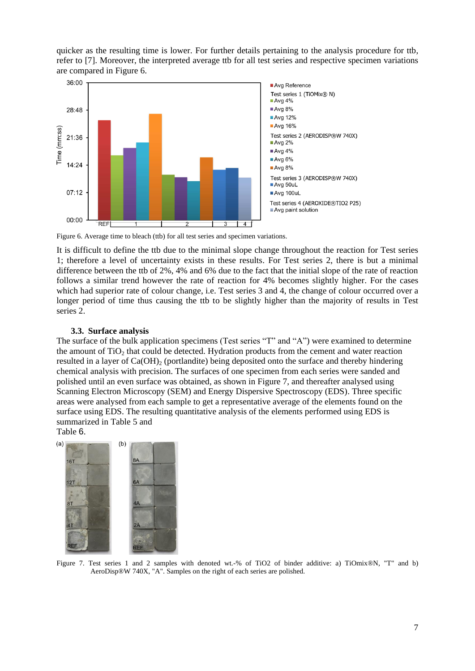quicker as the resulting time is lower. For further details pertaining to the analysis procedure for ttb, refer to [\[7\]](#page-8-6). Moreover, the interpreted average ttb for all test series and respective specimen variations are compared in [Figure 6.](#page-6-1)



<span id="page-6-1"></span>Figure 6. Average time to bleach (ttb) for all test series and specimen variations.

It is difficult to define the ttb due to the minimal slope change throughout the reaction for Test series 1; therefore a level of uncertainty exists in these results. For Test series 2, there is but a minimal difference between the ttb of 2%, 4% and 6% due to the fact that the initial slope of the rate of reaction follows a similar trend however the rate of reaction for 4% becomes slightly higher. For the cases which had superior rate of colour change, i.e. Test series 3 and 4, the change of colour occurred over a longer period of time thus causing the ttb to be slightly higher than the majority of results in Test series 2.

# **3.3. Surface analysis**

<span id="page-6-0"></span>The surface of the bulk application specimens (Test series "T" and "A") were examined to determine the amount of  $TiO<sub>2</sub>$  that could be detected. Hydration products from the cement and water reaction resulted in a layer of  $Ca(OH)_{2}$  (portlandite) being deposited onto the surface and thereby hindering chemical analysis with precision. The surfaces of one specimen from each series were sanded and polished until an even surface was obtained, as shown in [Figure 7,](#page-6-2) and thereafter analysed using Scanning Electron Microscopy (SEM) and Energy Dispersive Spectroscopy (EDS). Three specific areas were analysed from each sample to get a representative average of the elements found on the surface using EDS. The resulting quantitative analysis of the elements performed using EDS is summarized in [Table 5](#page-7-0) and

# [Table](#page-7-1) 6.

<span id="page-6-2"></span>

Figure 7. Test series 1 and 2 samples with denoted wt.-% of TiO2 of binder additive: a) TiOmix®N, "T" and b) AeroDisp®W 740X, "A". Samples on the right of each series are polished.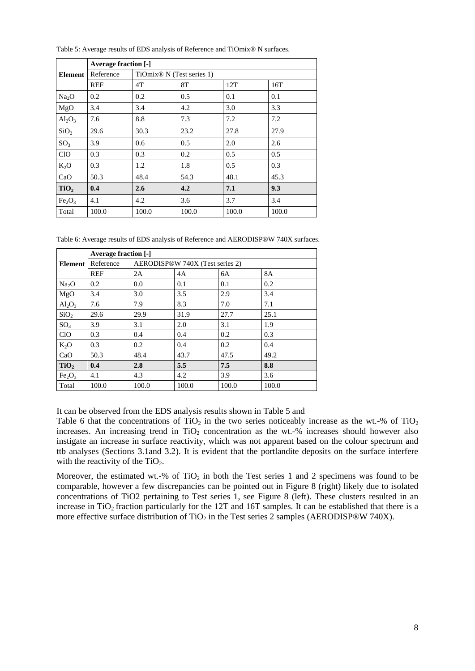|                                | <b>Average fraction [-]</b> |                                       |       |       |       |  |  |  |
|--------------------------------|-----------------------------|---------------------------------------|-------|-------|-------|--|--|--|
| Element                        | Reference                   | TiOmix <sup>®</sup> N (Test series 1) |       |       |       |  |  |  |
|                                | <b>REF</b>                  | 4T                                    | 8T    | 12T   | 16T   |  |  |  |
| Na <sub>2</sub> O              | 0.2                         | 0.2                                   | 0.5   | 0.1   | 0.1   |  |  |  |
| MgO                            | 3.4                         | 3.4                                   | 4.2   | 3.0   | 3.3   |  |  |  |
| $Al_2O_3$                      | 7.6                         | 8.8                                   | 7.3   | 7.2   | 7.2   |  |  |  |
| SiO <sub>2</sub>               | 29.6                        | 30.3                                  | 23.2  | 27.8  | 27.9  |  |  |  |
| SO <sub>3</sub>                | 3.9                         | 0.6                                   | 0.5   | 2.0   | 2.6   |  |  |  |
| <b>CIO</b>                     | 0.3                         | 0.3                                   | 0.2   | 0.5   | 0.5   |  |  |  |
| $K_2O$                         | 0.3                         | 1.2                                   | 1.8   | 0.5   | 0.3   |  |  |  |
| CaO                            | 50.3                        | 48.4                                  | 54.3  | 48.1  | 45.3  |  |  |  |
| TiO <sub>2</sub>               | 0.4                         | 2.6                                   | 4.2   | 7.1   | 9.3   |  |  |  |
| Fe <sub>2</sub> O <sub>3</sub> | 4.1                         | 4.2                                   | 3.6   | 3.7   | 3.4   |  |  |  |
| Total                          | 100.0                       | 100.0                                 | 100.0 | 100.0 | 100.0 |  |  |  |

<span id="page-7-0"></span>Table 5: Average results of EDS analysis of Reference and TiOmix® N surfaces.

<span id="page-7-1"></span>Table 6: Average results of EDS analysis of Reference and AERODISP®W 740X surfaces.

|                                | <b>Average fraction [-]</b> |                                 |       |       |           |  |  |  |
|--------------------------------|-----------------------------|---------------------------------|-------|-------|-----------|--|--|--|
| Element                        | Reference                   | AERODISP®W 740X (Test series 2) |       |       |           |  |  |  |
|                                | <b>REF</b>                  | 2A                              | 4A    | 6A    | <b>8A</b> |  |  |  |
| Na <sub>2</sub> O              | 0.2                         | 0.0                             | 0.1   | 0.1   | 0.2       |  |  |  |
| MgO                            | 3.4                         | 3.0                             | 3.5   | 2.9   | 3.4       |  |  |  |
| $Al_2O_3$                      | 7.6                         | 7.9                             | 8.3   | 7.0   | 7.1       |  |  |  |
| SiO <sub>2</sub>               | 29.6                        | 29.9                            | 31.9  | 27.7  | 25.1      |  |  |  |
| SO <sub>3</sub>                | 3.9                         | 3.1                             | 2.0   | 3.1   | 1.9       |  |  |  |
| CIO                            | 0.3                         | 0.4                             | 0.4   | 0.2   | 0.3       |  |  |  |
| $K_2O$                         | 0.3                         | 0.2                             | 0.4   | 0.2   | 0.4       |  |  |  |
| CaO                            | 50.3                        | 48.4                            | 43.7  | 47.5  | 49.2      |  |  |  |
| TiO <sub>2</sub>               | 0.4                         | 2.8                             | 5.5   | 7.5   | 8.8       |  |  |  |
| Fe <sub>2</sub> O <sub>3</sub> | 4.1                         | 4.3                             | 4.2   | 3.9   | 3.6       |  |  |  |
| Total                          | 100.0                       | 100.0                           | 100.0 | 100.0 | 100.0     |  |  |  |

It can be observed from the EDS analysis results shown in [Table 5](#page-7-0) and

[Table](#page-7-1) 6 that the concentrations of  $TiO<sub>2</sub>$  in the two series noticeably increase as the wt.-% of  $TiO<sub>2</sub>$ increases. An increasing trend in  $TiO<sub>2</sub>$  concentration as the wt.-% increases should however also instigate an increase in surface reactivity, which was not apparent based on the colour spectrum and ttb analyses (Sections [3.1a](#page-4-1)nd [3.2\)](#page-5-3). It is evident that the portlandite deposits on the surface interfere with the reactivity of the  $TiO<sub>2</sub>$ .

Moreover, the estimated wt.-% of  $TiO<sub>2</sub>$  in both the Test series 1 and 2 specimens was found to be comparable, however a few discrepancies can be pointed out in [Figure 8](#page-8-7) (right) likely due to isolated concentrations of TiO2 pertaining to Test series 1, see [Figure 8](#page-8-7) (left). These clusters resulted in an increase in TiO<sub>2</sub> fraction particularly for the 12T and 16T samples. It can be established that there is a more effective surface distribution of  $TiO<sub>2</sub>$  in the Test series 2 samples (AERODISP®W 740X).